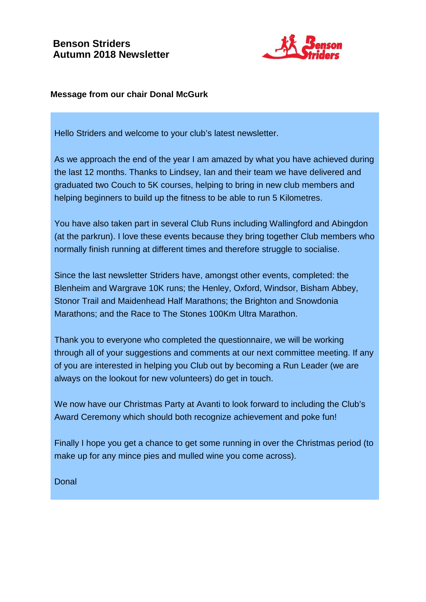# **Benson Striders Autumn 2018 Newsletter**



#### **Message from our chair Donal McGurk**

Hello Striders and welcome to your club's latest newsletter.

As we approach the end of the year I am amazed by what you have achieved during the last 12 months. Thanks to Lindsey, Ian and their team we have delivered and graduated two Couch to 5K courses, helping to bring in new club members and helping beginners to build up the fitness to be able to run 5 Kilometres.

You have also taken part in several Club Runs including Wallingford and Abingdon (at the parkrun). I love these events because they bring together Club members who normally finish running at different times and therefore struggle to socialise.

Since the last newsletter Striders have, amongst other events, completed: the Blenheim and Wargrave 10K runs; the Henley, Oxford, Windsor, Bisham Abbey, Stonor Trail and Maidenhead Half Marathons; the Brighton and Snowdonia Marathons; and the Race to The Stones 100Km Ultra Marathon.

Thank you to everyone who completed the questionnaire, we will be working through all of your suggestions and comments at our next committee meeting. If any of you are interested in helping you Club out by becoming a Run Leader (we are always on the lookout for new volunteers) do get in touch.

We now have our Christmas Party at Avanti to look forward to including the Club's Award Ceremony which should both recognize achievement and poke fun!

Finally I hope you get a chance to get some running in over the Christmas period (to make up for any mince pies and mulled wine you come across).

Donal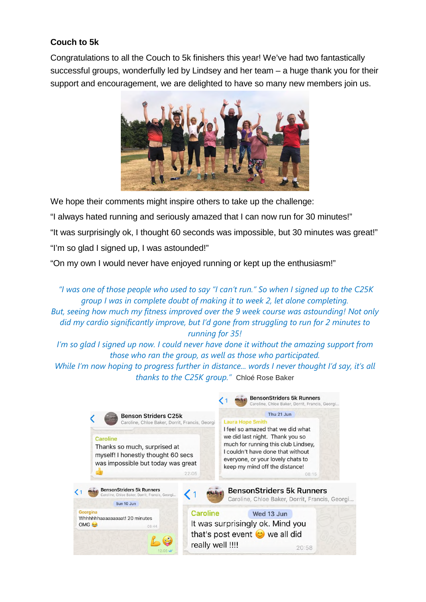# **Couch to 5k**

Congratulations to all the Couch to 5k finishers this year! We've had two fantastically successful groups, wonderfully led by Lindsey and her team – a huge thank you for their support and encouragement, we are delighted to have so many new members join us.



We hope their comments might inspire others to take up the challenge:

"I always hated running and seriously amazed that I can now run for 30 minutes!"

"It was surprisingly ok, I thought 60 seconds was impossible, but 30 minutes was great!" "I'm so glad I signed up, I was astounded!"

"On my own I would never have enjoyed running or kept up the enthusiasm!"

 *"I was one of those people who used to say "I can't run." So when I signed up to the C25K group I was in complete doubt of making it to week 2, let alone completing. But, seeing how much my fitness improved over the 9 week course was astounding! Not only did my cardio significantly improve, but I'd gone from struggling to run for 2 minutes to running for 35!* 

*I'm so glad I signed up now. I could never have done it without the amazing support from those who ran the group, as well as those who participated. While I'm now hoping to progress further in distance... words I never thought I'd say, it's all thanks to the C25K group."* Chloé Rose Baker

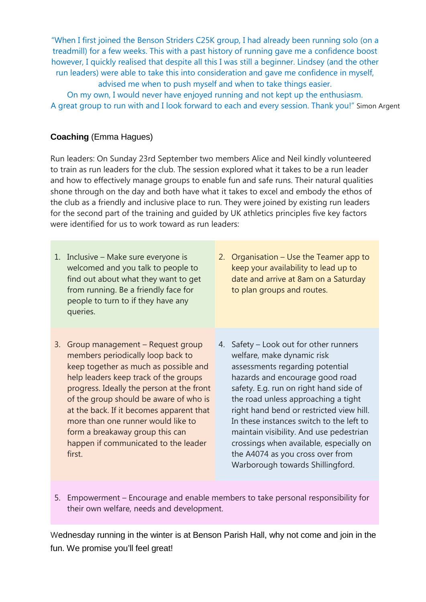"When I first joined the Benson Striders C25K group, I had already been running solo (on a treadmill) for a few weeks. This with a past history of running gave me a confidence boost however, I quickly realised that despite all this I was still a beginner. Lindsey (and the other run leaders) were able to take this into consideration and gave me confidence in myself, advised me when to push myself and when to take things easier.

On my own, I would never have enjoyed running and not kept up the enthusiasm. A great group to run with and I look forward to each and every session. Thank you!" Simon Argent

## **Coaching** (Emma Hagues)

Run leaders: On Sunday 23rd September two members Alice and Neil kindly volunteered to train as run leaders for the club. The session explored what it takes to be a run leader and how to effectively manage groups to enable fun and safe runs. Their natural qualities shone through on the day and both have what it takes to excel and embody the ethos of the club as a friendly and inclusive place to run. They were joined by existing run leaders for the second part of the training and guided by UK athletics principles five key factors were identified for us to work toward as run leaders:

- 1. Inclusive Make sure everyone is welcomed and you talk to people to find out about what they want to get from running. Be a friendly face for people to turn to if they have any queries.
- 2. Organisation Use the Teamer app to keep your availability to lead up to date and arrive at 8am on a Saturday to plan groups and routes.
- 3. Group management Request group members periodically loop back to keep together as much as possible and help leaders keep track of the groups progress. Ideally the person at the front of the group should be aware of who is at the back. If it becomes apparent that more than one runner would like to form a breakaway group this can happen if communicated to the leader first.
- 4. Safety Look out for other runners welfare, make dynamic risk assessments regarding potential hazards and encourage good road safety. E.g. run on right hand side of the road unless approaching a tight right hand bend or restricted view hill. In these instances switch to the left to maintain visibility. And use pedestrian crossings when available, especially on the A4074 as you cross over from Warborough towards Shillingford.
- 5. Empowerment Encourage and enable members to take personal responsibility for their own welfare, needs and development.

Wednesday running in the winter is at Benson Parish Hall, why not come and join in the fun. We promise you'll feel great!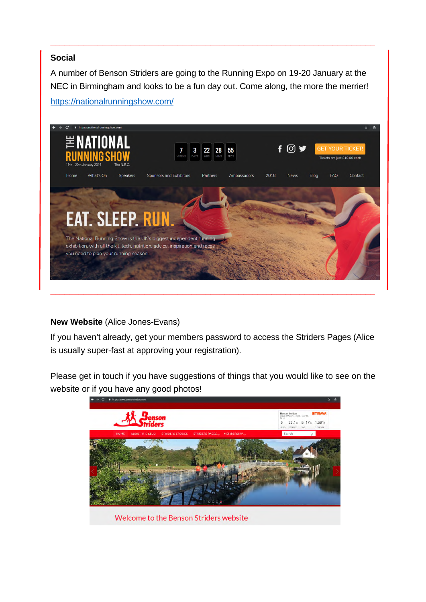## **Social**

A number of Benson Striders are going to the Running Expo on 19-20 January at the NEC in Birmingham and looks to be a fun day out. Come along, the more the merrier!

**\_\_\_\_\_\_\_\_\_\_\_\_\_\_\_\_\_\_\_\_\_\_\_\_\_\_\_\_\_\_\_\_\_\_\_\_\_\_\_\_\_\_\_\_\_\_\_\_\_\_\_\_\_\_\_\_\_\_\_\_\_\_\_\_\_\_\_\_\_** 



#### https://nationalrunningshow.com/

## **New Website** (Alice Jones-Evans)

If you haven't already, get your members password to access the Striders Pages (Alice is usually super-fast at approving your registration).

Please get in touch if you have suggestions of things that you would like to see on the website or if you have any good photos!



Welcome to the Benson Striders website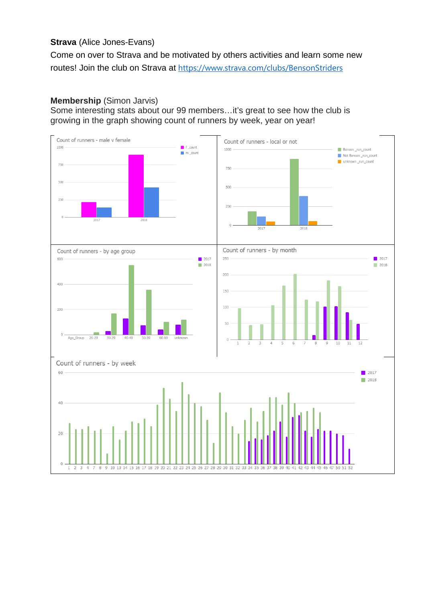#### **Strava** (Alice Jones-Evans)

Come on over to Strava and be motivated by others activities and learn some new routes! Join the club on Strava at https://www.strava.com/clubs/BensonStriders

#### **Membership** (Simon Jarvis)

Some interesting stats about our 99 members…it's great to see how the club is growing in the graph showing count of runners by week, year on year!

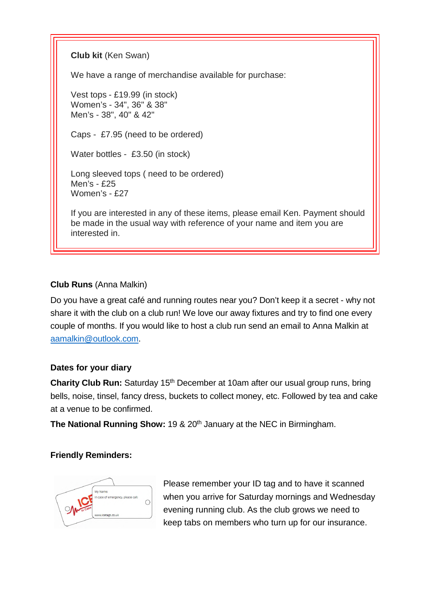**Club kit** (Ken Swan)

We have a range of merchandise available for purchase:

Vest tops - £19.99 (in stock) Women's - 34", 36" & 38" Men's - 38", 40" & 42"

Caps - £7.95 (need to be ordered)

Water bottles - £3.50 (in stock)

Long sleeved tops ( need to be ordered) Men's - £25 Women's - £27

If you are interested in any of these items, please email Ken. Payment should be made in the usual way with reference of your name and item you are interested in.

## **Club Runs** (Anna Malkin)

Do you have a great café and running routes near you? Don't keep it a secret - why not share it with the club on a club run! We love our away fixtures and try to find one every couple of months. If you would like to host a club run send an email to Anna Malkin at aamalkin@outlook.com.

## **Dates for your diary**

**Charity Club Run:** Saturday 15<sup>th</sup> December at 10am after our usual group runs, bring bells, noise, tinsel, fancy dress, buckets to collect money, etc. Followed by tea and cake at a venue to be confirmed.

**The National Running Show: 19 & 20<sup>th</sup> January at the NEC in Birmingham.** 

## **Friendly Reminders:**



Please remember your ID tag and to have it scanned when you arrive for Saturday mornings and Wednesday evening running club. As the club grows we need to keep tabs on members who turn up for our insurance.